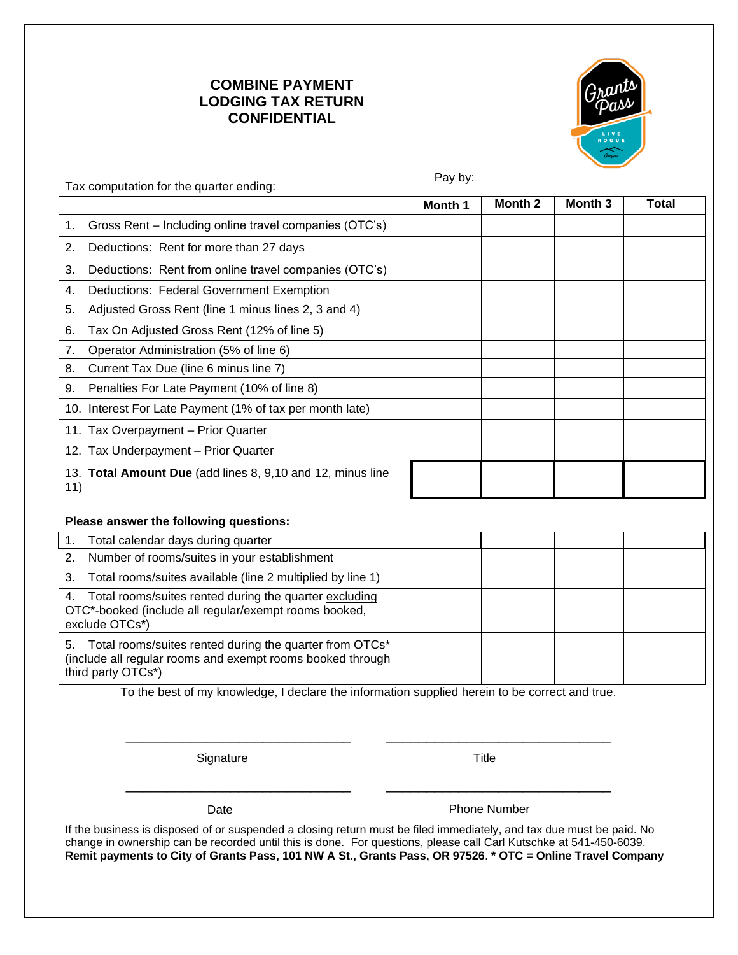## **COMBINE PAYMENT LODGING TAX RETURN CONFIDENTIAL**



| Tax computation for the quarter ending:                           | Pay by:        |         |         |       |
|-------------------------------------------------------------------|----------------|---------|---------|-------|
|                                                                   | <b>Month 1</b> | Month 2 | Month 3 | Total |
| Gross Rent - Including online travel companies (OTC's)<br>1.      |                |         |         |       |
| Deductions: Rent for more than 27 days<br>2.                      |                |         |         |       |
| Deductions: Rent from online travel companies (OTC's)<br>3.       |                |         |         |       |
| Deductions: Federal Government Exemption<br>4.                    |                |         |         |       |
| Adjusted Gross Rent (line 1 minus lines 2, 3 and 4)<br>5.         |                |         |         |       |
| Tax On Adjusted Gross Rent (12% of line 5)<br>6.                  |                |         |         |       |
| Operator Administration (5% of line 6)<br>7.                      |                |         |         |       |
| Current Tax Due (line 6 minus line 7)<br>8.                       |                |         |         |       |
| Penalties For Late Payment (10% of line 8)<br>9.                  |                |         |         |       |
| 10. Interest For Late Payment (1% of tax per month late)          |                |         |         |       |
| 11. Tax Overpayment - Prior Quarter                               |                |         |         |       |
| 12. Tax Underpayment - Prior Quarter                              |                |         |         |       |
| 13. Total Amount Due (add lines 8, 9,10 and 12, minus line<br>11) |                |         |         |       |
| Please answer the following questions:                            |                |         |         |       |
| Total calendar days during quarter                                |                |         |         |       |
| C<br>Number of rooms/quites in your ostablishment                 |                |         |         |       |

| . .<br>TULCI CAIGHUAI UAVS UUTING QUANGI                                                                                                       |  |  |
|------------------------------------------------------------------------------------------------------------------------------------------------|--|--|
| Number of rooms/suites in your establishment                                                                                                   |  |  |
| Total rooms/suites available (line 2 multiplied by line 1)<br>3.                                                                               |  |  |
| 4. Total rooms/suites rented during the quarter excluding<br>OTC*-booked (include all regular/exempt rooms booked,<br>exclude OTCs*)           |  |  |
| 5. Total rooms/suites rented during the quarter from OTCs*<br>(include all regular rooms and exempt rooms booked through<br>third party OTCs*) |  |  |

To the best of my knowledge, I declare the information supplied herein to be correct and true.

\_\_\_\_\_\_\_\_\_\_\_\_\_\_\_\_\_\_\_\_\_\_\_\_\_\_\_\_ \_\_\_\_\_\_\_\_\_\_\_\_\_\_\_\_\_\_\_\_\_\_\_\_\_\_\_\_

\_\_\_\_\_\_\_\_\_\_\_\_\_\_\_\_\_\_\_\_\_\_\_\_\_\_\_\_ \_\_\_\_\_\_\_\_\_\_\_\_\_\_\_\_\_\_\_\_\_\_\_\_\_\_\_\_

Signature Title

Date **Date** Phone Number

If the business is disposed of or suspended a closing return must be filed immediately, and tax due must be paid. No change in ownership can be recorded until this is done. For questions, please call Carl Kutschke at 541-450-6039. **Remit payments to City of Grants Pass, 101 NW A St., Grants Pass, OR 97526**. **\* OTC = Online Travel Company**